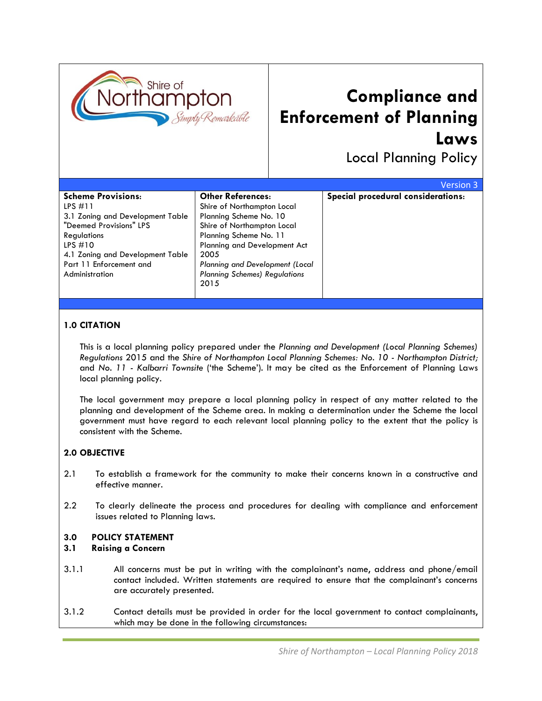

# **Compliance and Enforcement of Planning Laws**

Local Planning Policy

|                                                                                                                                                                                                                           |                                                                                                                                                                                                                                                                     | Version 3                          |
|---------------------------------------------------------------------------------------------------------------------------------------------------------------------------------------------------------------------------|---------------------------------------------------------------------------------------------------------------------------------------------------------------------------------------------------------------------------------------------------------------------|------------------------------------|
| <b>Scheme Provisions:</b><br>$LPS$ #11<br>3.1 Zoning and Development Table<br>"Deemed Provisions" LPS<br><b>Regulations</b><br>LPS $#10$<br>4.1 Zoning and Development Table<br>Part 11 Enforcement and<br>Administration | <b>Other References:</b><br>Shire of Northampton Local<br>Planning Scheme No. 10<br>Shire of Northampton Local<br>Planning Scheme No. 11<br>Planning and Development Act<br>2005<br>Planning and Development (Local<br><b>Planning Schemes) Regulations</b><br>2015 | Special procedural considerations: |

## **1.0 CITATION**

This is a local planning policy prepared under the *Planning and Development (Local Planning Schemes) Regulations* 2015 and the *Shire of Northampton Local Planning Schemes: No. 10 - Northampton District;*  and *No. 11 - Kalbarri Townsite* ('the Scheme'). It may be cited as the Enforcement of Planning Laws local planning policy.

The local government may prepare a local planning policy in respect of any matter related to the planning and development of the Scheme area. In making a determination under the Scheme the local government must have regard to each relevant local planning policy to the extent that the policy is consistent with the Scheme.

## **2.0 OBJECTIVE**

- 2.1 To establish a framework for the community to make their concerns known in a constructive and effective manner.
- 2.2 To clearly delineate the process and procedures for dealing with compliance and enforcement issues related to Planning laws.

### **3.0 POLICY STATEMENT**

#### **3.1 Raising a Concern**

- 3.1.1 All concerns must be put in writing with the complainant's name, address and phone/email contact included. Written statements are required to ensure that the complainant's concerns are accurately presented.
- 3.1.2 Contact details must be provided in order for the local government to contact complainants, which may be done in the following circumstances: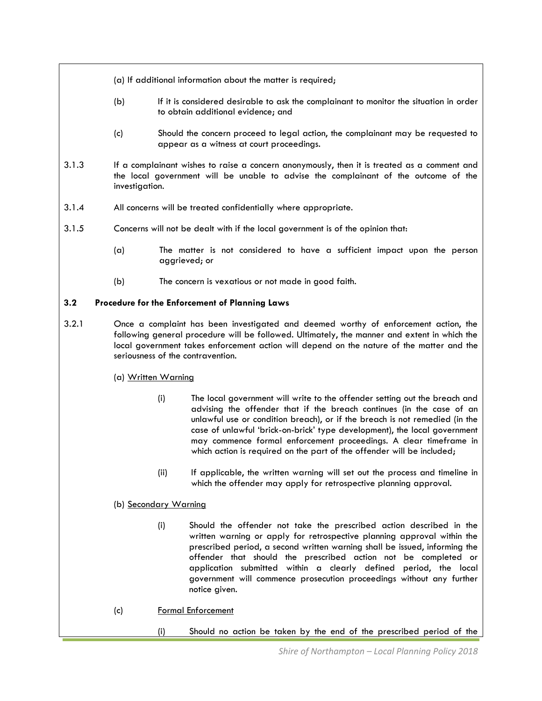- (a) If additional information about the matter is required;
- (b) If it is considered desirable to ask the complainant to monitor the situation in order to obtain additional evidence; and
- (c) Should the concern proceed to legal action, the complainant may be requested to appear as a witness at court proceedings.
- 3.1.3 If a complainant wishes to raise a concern anonymously, then it is treated as a comment and the local government will be unable to advise the complainant of the outcome of the investigation.
- 3.1.4 All concerns will be treated confidentially where appropriate.
- 3.1.5 Concerns will not be dealt with if the local government is of the opinion that:
	- (a) The matter is not considered to have a sufficient impact upon the person aggrieved; or
	- (b) The concern is vexatious or not made in good faith.

### **3.2 Procedure for the Enforcement of Planning Laws**

- 3.2.1 Once a complaint has been investigated and deemed worthy of enforcement action, the following general procedure will be followed. Ultimately, the manner and extent in which the local government takes enforcement action will depend on the nature of the matter and the seriousness of the contravention.
	- (a) Written Warning
		- (i) The local government will write to the offender setting out the breach and advising the offender that if the breach continues (in the case of an unlawful use or condition breach), or if the breach is not remedied (in the case of unlawful 'brick-on-brick' type development), the local government may commence formal enforcement proceedings. A clear timeframe in which action is required on the part of the offender will be included;
		- (ii) If applicable, the written warning will set out the process and timeline in which the offender may apply for retrospective planning approval.
	- (b) Secondary Warning
		- (i) Should the offender not take the prescribed action described in the written warning or apply for retrospective planning approval within the prescribed period, a second written warning shall be issued, informing the offender that should the prescribed action not be completed or application submitted within a clearly defined period, the local government will commence prosecution proceedings without any further notice given.
	- (c) Formal Enforcement
		- (i) Should no action be taken by the end of the prescribed period of the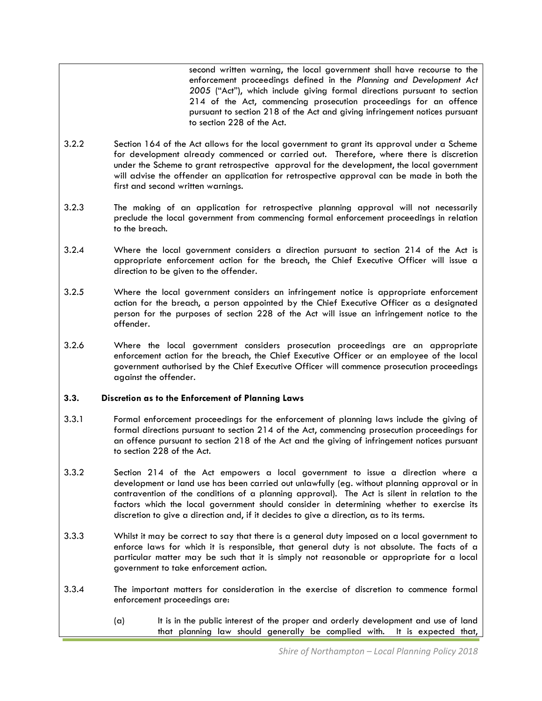second written warning, the local government shall have recourse to the enforcement proceedings defined in the *Planning and Development Act 2005* ("Act"), which include giving formal directions pursuant to section 214 of the Act, commencing prosecution proceedings for an offence pursuant to section 218 of the Act and giving infringement notices pursuant to section 228 of the Act.

- 3.2.2 Section 164 of the Act allows for the local government to grant its approval under a Scheme for development already commenced or carried out. Therefore, where there is discretion under the Scheme to grant retrospective approval for the development, the local government will advise the offender an application for retrospective approval can be made in both the first and second written warnings.
- 3.2.3 The making of an application for retrospective planning approval will not necessarily preclude the local government from commencing formal enforcement proceedings in relation to the breach.
- 3.2.4 Where the local government considers a direction pursuant to section 214 of the Act is appropriate enforcement action for the breach, the Chief Executive Officer will issue a direction to be given to the offender.
- 3.2.5 Where the local government considers an infringement notice is appropriate enforcement action for the breach, a person appointed by the Chief Executive Officer as a designated person for the purposes of section 228 of the Act will issue an infringement notice to the offender.
- 3.2.6 Where the local government considers prosecution proceedings are an appropriate enforcement action for the breach, the Chief Executive Officer or an employee of the local government authorised by the Chief Executive Officer will commence prosecution proceedings against the offender.

#### **3.3. Discretion as to the Enforcement of Planning Laws**

- 3.3.1 Formal enforcement proceedings for the enforcement of planning laws include the giving of formal directions pursuant to section 214 of the Act, commencing prosecution proceedings for an offence pursuant to section 218 of the Act and the giving of infringement notices pursuant to section 228 of the Act.
- 3.3.2 Section 214 of the Act empowers a local government to issue a direction where a development or land use has been carried out unlawfully (eg. without planning approval or in contravention of the conditions of a planning approval). The Act is silent in relation to the factors which the local government should consider in determining whether to exercise its discretion to give a direction and, if it decides to give a direction, as to its terms.
- 3.3.3 Whilst it may be correct to say that there is a general duty imposed on a local government to enforce laws for which it is responsible, that general duty is not absolute. The facts of a particular matter may be such that it is simply not reasonable or appropriate for a local government to take enforcement action.
- 3.3.4 The important matters for consideration in the exercise of discretion to commence formal enforcement proceedings are:
	- (a) It is in the public interest of the proper and orderly development and use of land that planning law should generally be complied with. It is expected that,